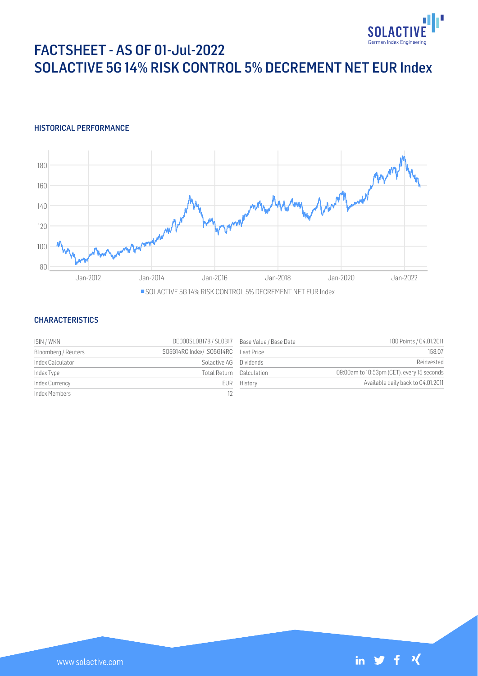

# FACTSHEET - AS OF 01-Jul-2022 SOLACTIVE 5G 14% RISK CONTROL 5% DECREMENT NET EUR Index

## HISTORICAL PERFORMANCE



### **CHARACTERISTICS**

| ISIN / WKN          | DE000SL0B178 / SL0B17 Base Value / Base Date |                          | 100 Points / 04.01.2011                    |
|---------------------|----------------------------------------------|--------------------------|--------------------------------------------|
| Bloomberg / Reuters | SO5G14RC Index/.SO5G14RC Last Price          |                          | 158.07                                     |
| Index Calculator    | Solactive AG Dividends                       |                          | Reinvested                                 |
| Index Type          |                                              | Total Return Calculation | 09:00am to 10:53pm (CET), every 15 seconds |
| Index Currency      |                                              | EUR History              | Available daily back to 04.01.2011         |
| Index Members       |                                              |                          |                                            |

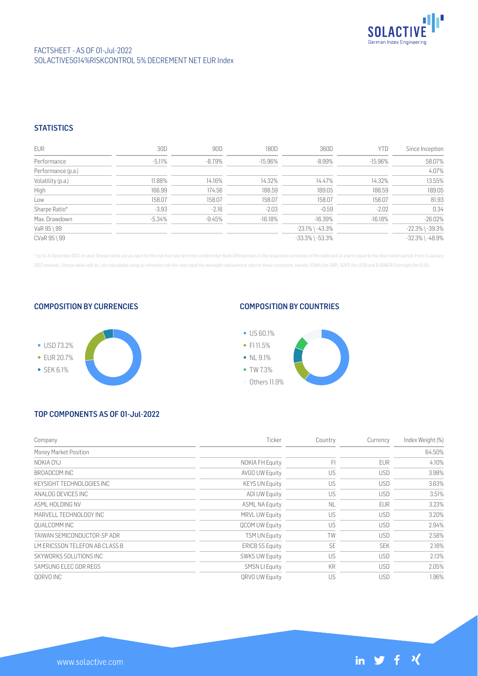

## FACTSHEET - AS OF 01-Jul-2022 SOLACTIVE 5G14% RISK CONTROL 5% DECREMENT NET EUR Index

## **STATISTICS**

| <b>EUR</b>         | 30D      | 90D       | 180D      | 360D                  | <b>YTD</b> | Since Inception       |
|--------------------|----------|-----------|-----------|-----------------------|------------|-----------------------|
| Performance        | $-5.11%$ | $-8.79\%$ | $-15.96%$ | $-8.99%$              | $-15.96%$  | 58.07%                |
| Performance (p.a.) |          |           |           |                       |            | 4.07%                 |
| Volatility (p.a.)  | 11.88%   | 14.16%    | 14.32%    | 14.47%                | 14.32%     | 13.55%                |
| High               | 166.99   | 174.56    | 188.59    | 189.05                | 188.59     | 189.05                |
| Low                | 158.07   | 158.07    | 158.07    | 158.07                | 158.07     | 81.93                 |
| Sharpe Ratio*      | $-3.93$  | $-2.16$   | $-2.03$   | $-0.59$               | $-2.02$    | 0.34                  |
| Max. Drawdown      | $-5.34%$ | $-9.45%$  | $-16.18%$ | $-16.39%$             | $-16.18%$  | $-26.02%$             |
| VaR 95 \ 99        |          |           |           | $-23.1\%$ \ $-43.3\%$ |            | $-22.3\%$ \ $-39.3\%$ |
| CVaR 95 \ 99       |          |           |           | $-33.3\%$ \ $-53.3\%$ |            | $-32.3\%$ \ $-48.9\%$ |

\* Up to 31 December 2021, ex-post Sharpe ratios use as input for the risk free rate term the London Inter-Bank Offered rates in the respective currencies of the index and at a term equal to the observation period. From 3 J 2022 onwards, Sharpe ratios will be / are calculated using as reference risk free rate input the overnight replacement rate for these currencies, namely SONIA (for GBP), SOFR (for USD) and EURIBOR Overnight (for EUR).

#### COMPOSITION BY CURRENCIES



## COMPOSITION BY COUNTRIES



# TOP COMPONENTS AS OF 01-Jul-2022

www.solactive.com

| Company                        | Ticker                 | Country   | Currency   | Index Weight (%) |
|--------------------------------|------------------------|-----------|------------|------------------|
| Money Market Position          |                        |           |            | 64.50%           |
| NOKIA OYJ                      | NOKIA FH Equity        | FI        | <b>EUR</b> | 4.10%            |
| BROADCOM INC                   | AVGO UW Equity         | US        | <b>USD</b> | 3.98%            |
| KEYSIGHT TECHNOLOGIES INC      | <b>KEYS UN Equity</b>  | US        | <b>USD</b> | 3.63%            |
| ANALOG DEVICES INC             | <b>ADI UW Equity</b>   | US        | <b>USD</b> | 3.51%            |
| ASMI HOI DING NV               | <b>ASML NA Equity</b>  | <b>NL</b> | <b>EUR</b> | 3.23%            |
| MARVELL TECHNOLOGY INC         | MRVL UW Equity         | US        | <b>USD</b> | 3.20%            |
| OUALCOMM INC                   | <b>QCOM UW Equity</b>  | US        | <b>USD</b> | 2.94%            |
| TAIWAN SEMICONDUCTOR-SP ADR    | <b>TSM UN Equity</b>   | TW        | <b>USD</b> | 2.58%            |
| LM ERICSSON TELEFON AB CLASS B | <b>ERICB SS Equity</b> | <b>SE</b> | <b>SEK</b> | 2.18%            |
| SKYWORKS SOLUTIONS INC         | <b>SWKS UW Equity</b>  | US        | <b>USD</b> | 2.13%            |
| SAMSUNG ELEC GDR REGS          | <b>SMSN LI Equity</b>  | KR        | <b>USD</b> | 2.05%            |
| OORVO INC                      | QRVO UW Equity         | US        | <b>USD</b> | 1.96%            |